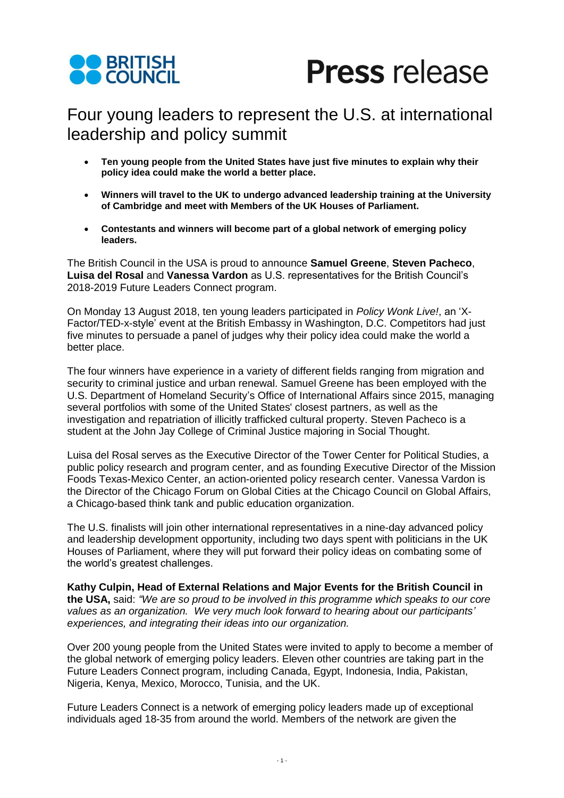



## Four young leaders to represent the U.S. at international leadership and policy summit

- **Ten young people from the United States have just five minutes to explain why their policy idea could make the world a better place.**
- **Winners will travel to the UK to undergo advanced leadership training at the University of Cambridge and meet with Members of the UK Houses of Parliament.**
- **Contestants and winners will become part of a global network of emerging policy leaders.**

The British Council in the USA is proud to announce **Samuel Greene**, **Steven Pacheco**, **Luisa del Rosal** and **Vanessa Vardon** as U.S. representatives for the British Council's 2018-2019 Future Leaders Connect program.

On Monday 13 August 2018, ten young leaders participated in *Policy Wonk Live!*, an 'X-Factor/TED-x-style' event at the British Embassy in Washington, D.C. Competitors had just five minutes to persuade a panel of judges why their policy idea could make the world a better place.

The four winners have experience in a variety of different fields ranging from migration and security to criminal justice and urban renewal. Samuel Greene has been employed with the U.S. Department of Homeland Security's Office of International Affairs since 2015, managing several portfolios with some of the United States' closest partners, as well as the investigation and repatriation of illicitly trafficked cultural property. Steven Pacheco is a student at the John Jay College of Criminal Justice majoring in Social Thought.

Luisa del Rosal serves as the Executive Director of the Tower Center for Political Studies, a public policy research and program center, and as founding Executive Director of the Mission Foods Texas-Mexico Center, an action-oriented policy research center. Vanessa Vardon is the Director of the Chicago Forum on Global Cities at the Chicago Council on Global Affairs, a Chicago-based think tank and public education organization.

The U.S. finalists will join other international representatives in a nine-day advanced policy and leadership development opportunity, including two days spent with politicians in the UK Houses of Parliament, where they will put forward their policy ideas on combating some of the world's greatest challenges.

**Kathy Culpin, Head of External Relations and Major Events for the British Council in the USA,** said: *"We are so proud to be involved in this programme which speaks to our core values as an organization. We very much look forward to hearing about our participants' experiences, and integrating their ideas into our organization.*

Over 200 young people from the United States were invited to apply to become a member of the global network of emerging policy leaders. Eleven other countries are taking part in the Future Leaders Connect program, including Canada, Egypt, Indonesia, India, Pakistan, Nigeria, Kenya, Mexico, Morocco, Tunisia, and the UK.

Future Leaders Connect is a network of emerging policy leaders made up of exceptional individuals aged 18-35 from around the world. Members of the network are given the